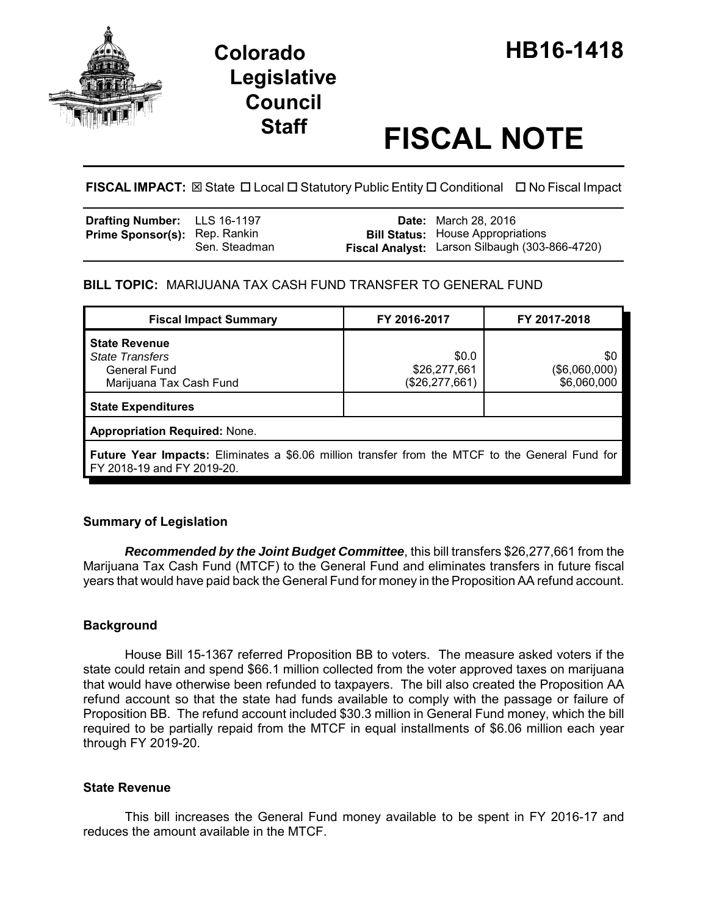

# **Legislative Council**

# **Staff FISCAL NOTE**

# **FISCAL IMPACT:** ⊠ State □ Local □ Statutory Public Entity □ Conditional □ No Fiscal Impact

| <b>Drafting Number:</b> LLS 16-1197  |               | <b>Date:</b> March 28, 2016                                                                |
|--------------------------------------|---------------|--------------------------------------------------------------------------------------------|
| <b>Prime Sponsor(s): Rep. Rankin</b> | Sen. Steadman | <b>Bill Status:</b> House Appropriations<br>Fiscal Analyst: Larson Silbaugh (303-866-4720) |

## **BILL TOPIC:** MARIJUANA TAX CASH FUND TRANSFER TO GENERAL FUND

| <b>Fiscal Impact Summary</b>                                                                                                         | FY 2016-2017                              | FY 2017-2018                        |  |  |  |  |  |  |
|--------------------------------------------------------------------------------------------------------------------------------------|-------------------------------------------|-------------------------------------|--|--|--|--|--|--|
| <b>State Revenue</b><br><b>State Transfers</b><br>General Fund<br>Marijuana Tax Cash Fund                                            | \$0.0<br>\$26,277,661<br>(\$26, 277, 661) | \$0<br>(\$6,060,000)<br>\$6,060,000 |  |  |  |  |  |  |
| <b>State Expenditures</b>                                                                                                            |                                           |                                     |  |  |  |  |  |  |
| <b>Appropriation Required: None.</b>                                                                                                 |                                           |                                     |  |  |  |  |  |  |
| <b>Future Year Impacts:</b> Eliminates a \$6.06 million transfer from the MTCF to the General Fund for<br>FY 2018-19 and FY 2019-20. |                                           |                                     |  |  |  |  |  |  |

# **Summary of Legislation**

*Recommended by the Joint Budget Committee*, this bill transfers \$26,277,661 from the Marijuana Tax Cash Fund (MTCF) to the General Fund and eliminates transfers in future fiscal years that would have paid back the General Fund for money in the Proposition AA refund account.

### **Background**

House Bill 15-1367 referred Proposition BB to voters. The measure asked voters if the state could retain and spend \$66.1 million collected from the voter approved taxes on marijuana that would have otherwise been refunded to taxpayers. The bill also created the Proposition AA refund account so that the state had funds available to comply with the passage or failure of Proposition BB. The refund account included \$30.3 million in General Fund money, which the bill required to be partially repaid from the MTCF in equal installments of \$6.06 million each year through FY 2019-20.

### **State Revenue**

This bill increases the General Fund money available to be spent in FY 2016-17 and reduces the amount available in the MTCF.